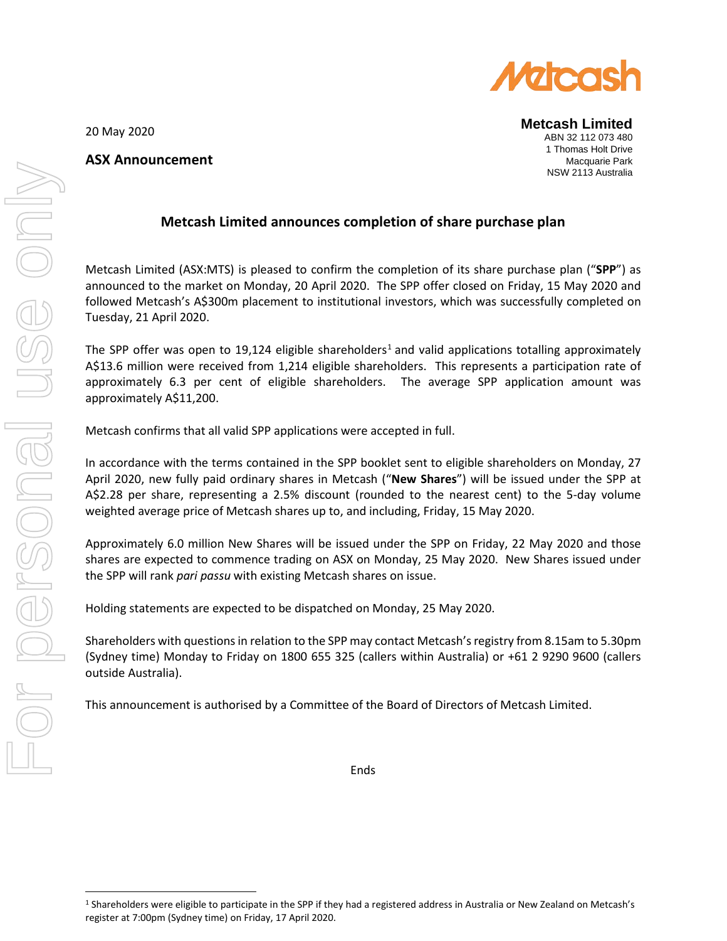

**Metcash Limited** ABN 32 112 073 480 1 Thomas Holt Drive Macquarie Park NSW 2113 Australia

20 May 2020

## **ASX Announcement**

## **Metcash Limited announces completion of share purchase plan**

Metcash Limited (ASX:MTS) is pleased to confirm the completion of its share purchase plan ("**SPP**") as announced to the market on Monday, 20 April 2020. The SPP offer closed on Friday, 15 May 2020 and followed Metcash's A\$300m placement to institutional investors, which was successfully completed on Tuesday, 21 April 2020.

The SPP offer was open to [1](#page-0-0)9,124 eligible shareholders<sup>1</sup> and valid applications totalling approximately A\$13.6 million were received from 1,214 eligible shareholders. This represents a participation rate of approximately 6.3 per cent of eligible shareholders. The average SPP application amount was approximately A\$11,200.

Metcash confirms that all valid SPP applications were accepted in full.

In accordance with the terms contained in the SPP booklet sent to eligible shareholders on Monday, 27 April 2020, new fully paid ordinary shares in Metcash ("**New Shares**") will be issued under the SPP at A\$2.28 per share, representing a 2.5% discount (rounded to the nearest cent) to the 5-day volume weighted average price of Metcash shares up to, and including, Friday, 15 May 2020.

Approximately 6.0 million New Shares will be issued under the SPP on Friday, 22 May 2020 and those shares are expected to commence trading on ASX on Monday, 25 May 2020. New Shares issued under the SPP will rank *pari passu* with existing Metcash shares on issue.

Holding statements are expected to be dispatched on Monday, 25 May 2020.

Shareholders with questions in relation to the SPP may contact Metcash's registry from 8.15am to 5.30pm (Sydney time) Monday to Friday on 1800 655 325 (callers within Australia) or +61 2 9290 9600 (callers outside Australia).

This announcement is authorised by a Committee of the Board of Directors of Metcash Limited.

Ends

<span id="page-0-0"></span><sup>1</sup> Shareholders were eligible to participate in the SPP if they had a registered address in Australia or New Zealand on Metcash's register at 7:00pm (Sydney time) on Friday, 17 April 2020.